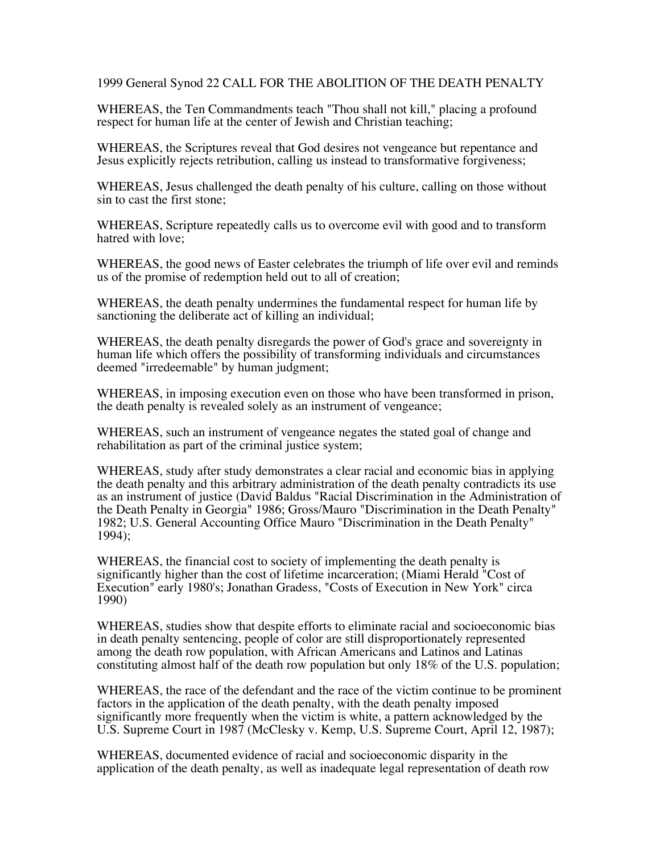1999 General Synod 22 CALL FOR THE ABOLITION OF THE DEATH PENALTY

WHEREAS, the Ten Commandments teach "Thou shall not kill," placing a profound respect for human life at the center of Jewish and Christian teaching;

WHEREAS, the Scriptures reveal that God desires not vengeance but repentance and Jesus explicitly rejects retribution, calling us instead to transformative forgiveness;

WHEREAS, Jesus challenged the death penalty of his culture, calling on those without sin to cast the first stone;

WHEREAS, Scripture repeatedly calls us to overcome evil with good and to transform hatred with love;

WHEREAS, the good news of Easter celebrates the triumph of life over evil and reminds us of the promise of redemption held out to all of creation;

WHEREAS, the death penalty undermines the fundamental respect for human life by sanctioning the deliberate act of killing an individual;

WHEREAS, the death penalty disregards the power of God's grace and sovereignty in human life which offers the possibility of transforming individuals and circumstances deemed "irredeemable" by human judgment;

WHEREAS, in imposing execution even on those who have been transformed in prison, the death penalty is revealed solely as an instrument of vengeance;

WHEREAS, such an instrument of vengeance negates the stated goal of change and rehabilitation as part of the criminal justice system;

WHEREAS, study after study demonstrates a clear racial and economic bias in applying the death penalty and this arbitrary administration of the death penalty contradicts its use as an instrument of justice (David Baldus "Racial Discrimination in the Administration of the Death Penalty in Georgia" 1986; Gross/Mauro "Discrimination in the Death Penalty" 1982; U.S. General Accounting Office Mauro "Discrimination in the Death Penalty" 1994);

WHEREAS, the financial cost to society of implementing the death penalty is significantly higher than the cost of lifetime incarceration; (Miami Herald "Cost of Execution" early 1980's; Jonathan Gradess, "Costs of Execution in New York" circa 1990)

WHEREAS, studies show that despite efforts to eliminate racial and socioeconomic bias in death penalty sentencing, people of color are still disproportionately represented among the death row population, with African Americans and Latinos and Latinas constituting almost half of the death row population but only 18% of the U.S. population;

WHEREAS, the race of the defendant and the race of the victim continue to be prominent factors in the application of the death penalty, with the death penalty imposed significantly more frequently when the victim is white, a pattern acknowledged by the U.S. Supreme Court in 1987 (McClesky v. Kemp, U.S. Supreme Court, April 12, 1987);

WHEREAS, documented evidence of racial and socioeconomic disparity in the application of the death penalty, as well as inadequate legal representation of death row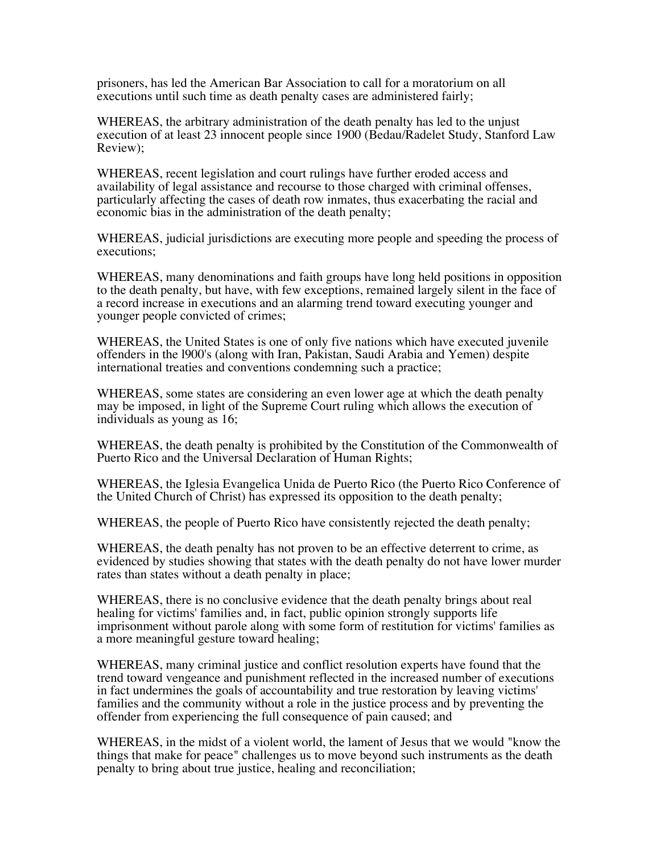prisoners, has led the American Bar Association to call for a moratorium on all executions until such time as death penalty cases are administered fairly;

WHEREAS, the arbitrary administration of the death penalty has led to the unjust execution of at least 23 innocent people since 1900 (Bedau/Radelet Study, Stanford Law Review);

WHEREAS, recent legislation and court rulings have further eroded access and availability of legal assistance and recourse to those charged with criminal offenses, particularly affecting the cases of death row inmates, thus exacerbating the racial and economic bias in the administration of the death penalty;

WHEREAS, judicial jurisdictions are executing more people and speeding the process of executions;

WHEREAS, many denominations and faith groups have long held positions in opposition to the death penalty, but have, with few exceptions, remained largely silent in the face of a record increase in executions and an alarming trend toward executing younger and younger people convicted of crimes;

WHEREAS, the United States is one of only five nations which have executed juvenile offenders in the l900's (along with Iran, Pakistan, Saudi Arabia and Yemen) despite international treaties and conventions condemning such a practice;

WHEREAS, some states are considering an even lower age at which the death penalty may be imposed, in light of the Supreme Court ruling which allows the execution of individuals as young as 16;

WHEREAS, the death penalty is prohibited by the Constitution of the Commonwealth of Puerto Rico and the Universal Declaration of Human Rights;

WHEREAS, the Iglesia Evangelica Unida de Puerto Rico (the Puerto Rico Conference of the United Church of Christ) has expressed its opposition to the death penalty;

WHEREAS, the people of Puerto Rico have consistently rejected the death penalty;

WHEREAS, the death penalty has not proven to be an effective deterrent to crime, as evidenced by studies showing that states with the death penalty do not have lower murder rates than states without a death penalty in place;

WHEREAS, there is no conclusive evidence that the death penalty brings about real healing for victims' families and, in fact, public opinion strongly supports life imprisonment without parole along with some form of restitution for victims' families as a more meaningful gesture toward healing;

WHEREAS, many criminal justice and conflict resolution experts have found that the trend toward vengeance and punishment reflected in the increased number of executions in fact undermines the goals of accountability and true restoration by leaving victims' families and the community without a role in the justice process and by preventing the offender from experiencing the full consequence of pain caused; and

WHEREAS, in the midst of a violent world, the lament of Jesus that we would "know the things that make for peace" challenges us to move beyond such instruments as the death penalty to bring about true justice, healing and reconciliation;